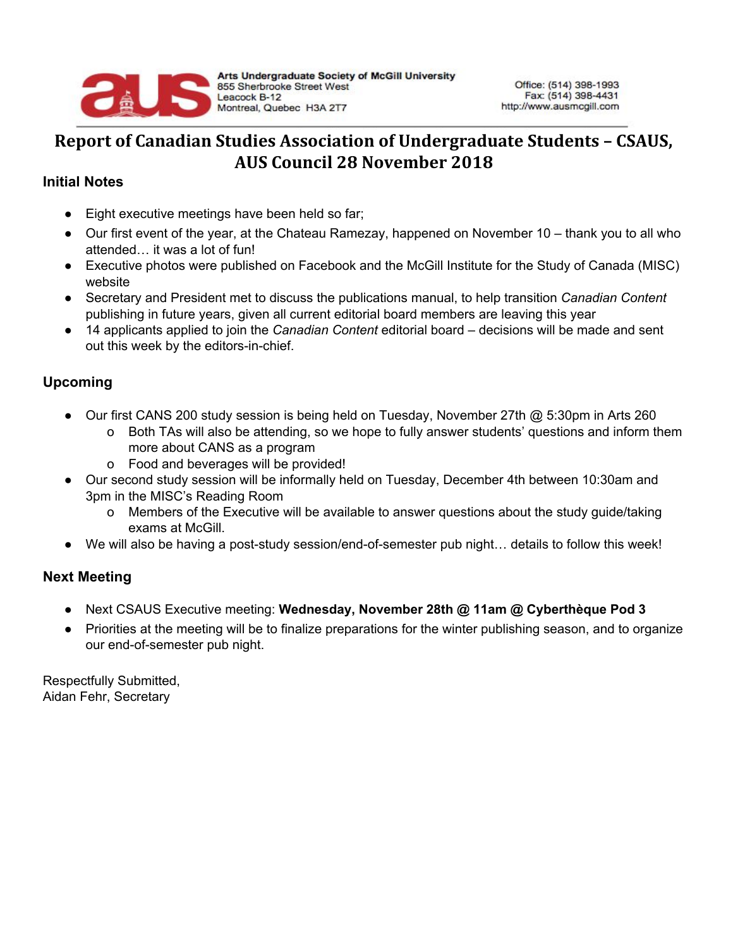

## **Report of Canadian Studies Association of Undergraduate Students – CSAUS, AUS Council 28 November 2018**

## **Initial Notes**

- Eight executive meetings have been held so far;
- Our first event of the year, at the Chateau Ramezay, happened on November 10 thank you to all who attended… it was a lot of fun!
- Executive photos were published on Facebook and the McGill Institute for the Study of Canada (MISC) website
- Secretary and President met to discuss the publications manual, to help transition *Canadian Content* publishing in future years, given all current editorial board members are leaving this year
- 14 applicants applied to join the *Canadian Content* editorial board decisions will be made and sent out this week by the editors-in-chief.

## **Upcoming**

- Our first CANS 200 study session is being held on Tuesday, November 27th @ 5:30pm in Arts 260
	- o Both TAs will also be attending, so we hope to fully answer students' questions and inform them more about CANS as a program
	- o Food and beverages will be provided!
- Our second study session will be informally held on Tuesday, December 4th between 10:30am and 3pm in the MISC's Reading Room
	- o Members of the Executive will be available to answer questions about the study guide/taking exams at McGill.
- We will also be having a post-study session/end-of-semester pub night... details to follow this week!

## **Next Meeting**

- Next CSAUS Executive meeting: **Wednesday, November 28th @ 11am @ Cyberthèque Pod 3**
- Priorities at the meeting will be to finalize preparations for the winter publishing season, and to organize our end-of-semester pub night.

Respectfully Submitted, Aidan Fehr, Secretary